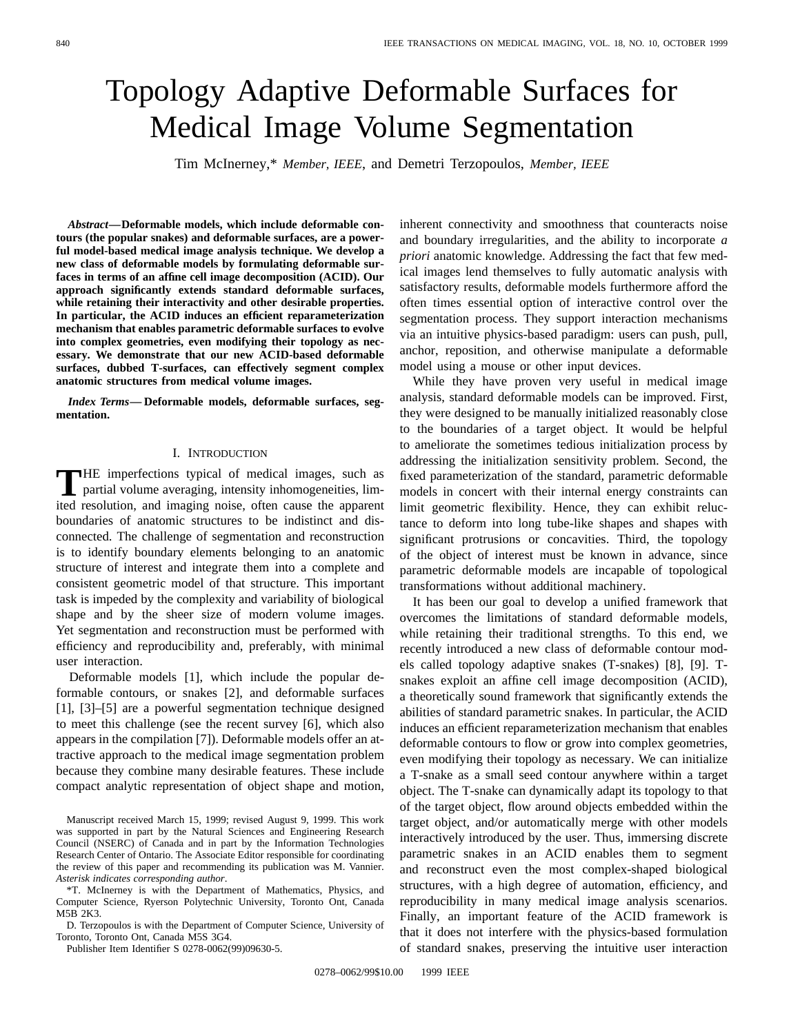# Topology Adaptive Deformable Surfaces for Medical Image Volume Segmentation

Tim McInerney,\* *Member, IEEE*, and Demetri Terzopoulos, *Member, IEEE*

*Abstract—***Deformable models, which include deformable contours (the popular snakes) and deformable surfaces, are a powerful model-based medical image analysis technique. We develop a new class of deformable models by formulating deformable surfaces in terms of an affine cell image decomposition (ACID). Our approach significantly extends standard deformable surfaces, while retaining their interactivity and other desirable properties. In particular, the ACID induces an efficient reparameterization mechanism that enables parametric deformable surfaces to evolve into complex geometries, even modifying their topology as necessary. We demonstrate that our new ACID-based deformable surfaces, dubbed T-surfaces, can effectively segment complex anatomic structures from medical volume images.**

*Index Terms—* **Deformable models, deformable surfaces, segmentation.**

## I. INTRODUCTION

**T**HE imperfections typical of medical images, such as partial volume averaging, intensity inhomogeneities, limited resolution, and imaging noise, often cause the apparent boundaries of anatomic structures to be indistinct and disconnected. The challenge of segmentation and reconstruction is to identify boundary elements belonging to an anatomic structure of interest and integrate them into a complete and consistent geometric model of that structure. This important task is impeded by the complexity and variability of biological shape and by the sheer size of modern volume images. Yet segmentation and reconstruction must be performed with efficiency and reproducibility and, preferably, with minimal user interaction.

Deformable models [1], which include the popular deformable contours, or snakes [2], and deformable surfaces [1], [3]–[5] are a powerful segmentation technique designed to meet this challenge (see the recent survey [6], which also appears in the compilation [7]). Deformable models offer an attractive approach to the medical image segmentation problem because they combine many desirable features. These include compact analytic representation of object shape and motion,

Manuscript received March 15, 1999; revised August 9, 1999. This work was supported in part by the Natural Sciences and Engineering Research Council (NSERC) of Canada and in part by the Information Technologies Research Center of Ontario. The Associate Editor responsible for coordinating the review of this paper and recommending its publication was M. Vannier. *Asterisk indicates corresponding author*.

\*T. McInerney is with the Department of Mathematics, Physics, and Computer Science, Ryerson Polytechnic University, Toronto Ont, Canada M5B 2K3.

D. Terzopoulos is with the Department of Computer Science, University of Toronto, Toronto Ont, Canada M5S 3G4.

Publisher Item Identifier S 0278-0062(99)09630-5.

inherent connectivity and smoothness that counteracts noise and boundary irregularities, and the ability to incorporate *a priori* anatomic knowledge. Addressing the fact that few medical images lend themselves to fully automatic analysis with satisfactory results, deformable models furthermore afford the often times essential option of interactive control over the segmentation process. They support interaction mechanisms via an intuitive physics-based paradigm: users can push, pull, anchor, reposition, and otherwise manipulate a deformable model using a mouse or other input devices.

While they have proven very useful in medical image analysis, standard deformable models can be improved. First, they were designed to be manually initialized reasonably close to the boundaries of a target object. It would be helpful to ameliorate the sometimes tedious initialization process by addressing the initialization sensitivity problem. Second, the fixed parameterization of the standard, parametric deformable models in concert with their internal energy constraints can limit geometric flexibility. Hence, they can exhibit reluctance to deform into long tube-like shapes and shapes with significant protrusions or concavities. Third, the topology of the object of interest must be known in advance, since parametric deformable models are incapable of topological transformations without additional machinery.

It has been our goal to develop a unified framework that overcomes the limitations of standard deformable models, while retaining their traditional strengths. To this end, we recently introduced a new class of deformable contour models called topology adaptive snakes (T-snakes) [8], [9]. Tsnakes exploit an affine cell image decomposition (ACID), a theoretically sound framework that significantly extends the abilities of standard parametric snakes. In particular, the ACID induces an efficient reparameterization mechanism that enables deformable contours to flow or grow into complex geometries, even modifying their topology as necessary. We can initialize a T-snake as a small seed contour anywhere within a target object. The T-snake can dynamically adapt its topology to that of the target object, flow around objects embedded within the target object, and/or automatically merge with other models interactively introduced by the user. Thus, immersing discrete parametric snakes in an ACID enables them to segment and reconstruct even the most complex-shaped biological structures, with a high degree of automation, efficiency, and reproducibility in many medical image analysis scenarios. Finally, an important feature of the ACID framework is that it does not interfere with the physics-based formulation of standard snakes, preserving the intuitive user interaction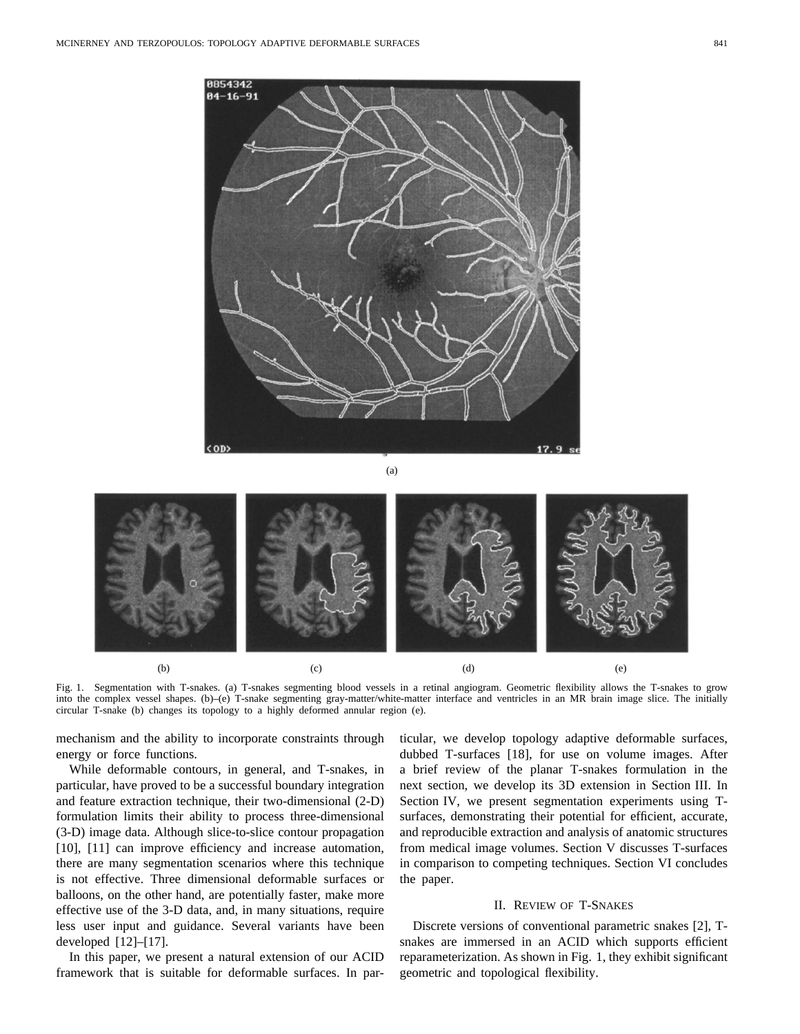

(a)



Fig. 1. Segmentation with T-snakes. (a) T-snakes segmenting blood vessels in a retinal angiogram. Geometric flexibility allows the T-snakes to grow into the complex vessel shapes. (b)–(e) T-snake segmenting gray-matter/white-matter interface and ventricles in an MR brain image slice. The initially circular T-snake (b) changes its topology to a highly deformed annular region (e).

mechanism and the ability to incorporate constraints through energy or force functions.

While deformable contours, in general, and T-snakes, in particular, have proved to be a successful boundary integration and feature extraction technique, their two-dimensional (2-D) formulation limits their ability to process three-dimensional (3-D) image data. Although slice-to-slice contour propagation [10], [11] can improve efficiency and increase automation, there are many segmentation scenarios where this technique is not effective. Three dimensional deformable surfaces or balloons, on the other hand, are potentially faster, make more effective use of the 3-D data, and, in many situations, require less user input and guidance. Several variants have been developed [12]–[17].

In this paper, we present a natural extension of our ACID framework that is suitable for deformable surfaces. In particular, we develop topology adaptive deformable surfaces, dubbed T-surfaces [18], for use on volume images. After a brief review of the planar T-snakes formulation in the next section, we develop its 3D extension in Section III. In Section IV, we present segmentation experiments using Tsurfaces, demonstrating their potential for efficient, accurate, and reproducible extraction and analysis of anatomic structures from medical image volumes. Section V discusses T-surfaces in comparison to competing techniques. Section VI concludes the paper.

## II. REVIEW OF T-SNAKES

Discrete versions of conventional parametric snakes [2], Tsnakes are immersed in an ACID which supports efficient reparameterization. As shown in Fig. 1, they exhibit significant geometric and topological flexibility.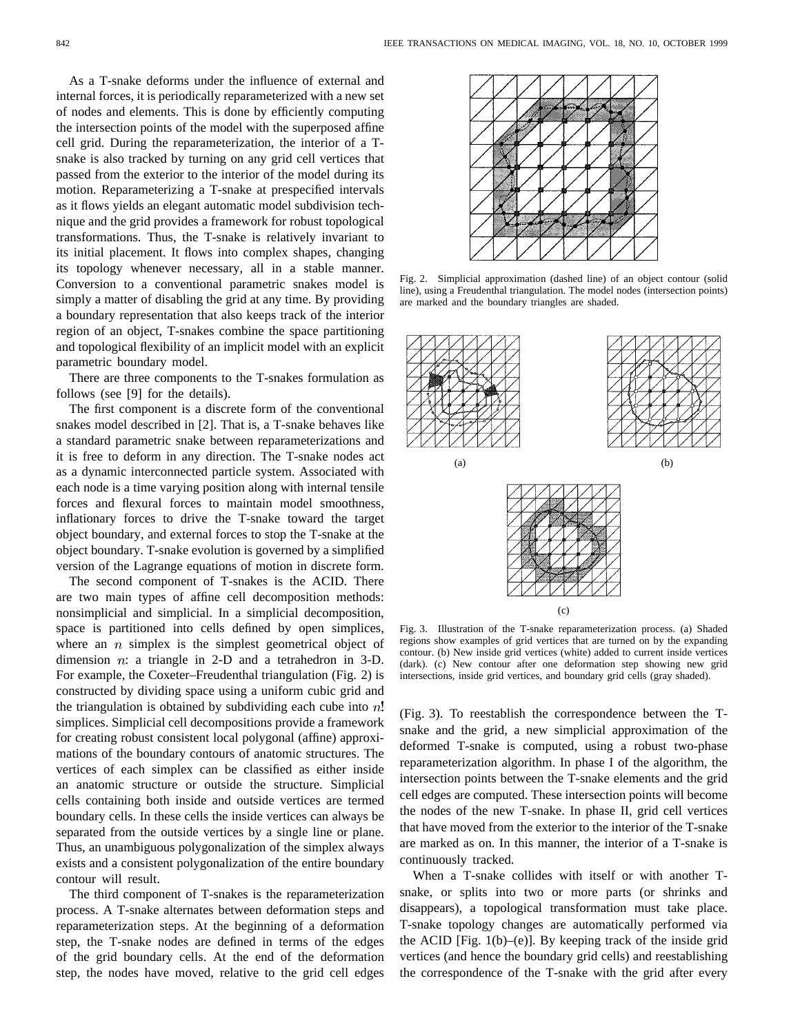As a T-snake deforms under the influence of external and internal forces, it is periodically reparameterized with a new set of nodes and elements. This is done by efficiently computing the intersection points of the model with the superposed affine cell grid. During the reparameterization, the interior of a Tsnake is also tracked by turning on any grid cell vertices that passed from the exterior to the interior of the model during its motion. Reparameterizing a T-snake at prespecified intervals as it flows yields an elegant automatic model subdivision technique and the grid provides a framework for robust topological transformations. Thus, the T-snake is relatively invariant to its initial placement. It flows into complex shapes, changing its topology whenever necessary, all in a stable manner. Conversion to a conventional parametric snakes model is simply a matter of disabling the grid at any time. By providing a boundary representation that also keeps track of the interior region of an object, T-snakes combine the space partitioning and topological flexibility of an implicit model with an explicit parametric boundary model.

There are three components to the T-snakes formulation as follows (see [9] for the details).

The first component is a discrete form of the conventional snakes model described in [2]. That is, a T-snake behaves like a standard parametric snake between reparameterizations and it is free to deform in any direction. The T-snake nodes act as a dynamic interconnected particle system. Associated with each node is a time varying position along with internal tensile forces and flexural forces to maintain model smoothness, inflationary forces to drive the T-snake toward the target object boundary, and external forces to stop the T-snake at the object boundary. T-snake evolution is governed by a simplified version of the Lagrange equations of motion in discrete form.

The second component of T-snakes is the ACID. There are two main types of affine cell decomposition methods: nonsimplicial and simplicial. In a simplicial decomposition, space is partitioned into cells defined by open simplices, where an  $n$  simplex is the simplest geometrical object of dimension  $n$ : a triangle in 2-D and a tetrahedron in 3-D. For example, the Coxeter–Freudenthal triangulation (Fig. 2) is constructed by dividing space using a uniform cubic grid and the triangulation is obtained by subdividing each cube into  $n!$ simplices. Simplicial cell decompositions provide a framework for creating robust consistent local polygonal (affine) approximations of the boundary contours of anatomic structures. The vertices of each simplex can be classified as either inside an anatomic structure or outside the structure. Simplicial cells containing both inside and outside vertices are termed boundary cells. In these cells the inside vertices can always be separated from the outside vertices by a single line or plane. Thus, an unambiguous polygonalization of the simplex always exists and a consistent polygonalization of the entire boundary contour will result.

The third component of T-snakes is the reparameterization process. A T-snake alternates between deformation steps and reparameterization steps. At the beginning of a deformation step, the T-snake nodes are defined in terms of the edges of the grid boundary cells. At the end of the deformation step, the nodes have moved, relative to the grid cell edges



Fig. 2. Simplicial approximation (dashed line) of an object contour (solid line), using a Freudenthal triangulation. The model nodes (intersection points) are marked and the boundary triangles are shaded.



Fig. 3. Illustration of the T-snake reparameterization process. (a) Shaded regions show examples of grid vertices that are turned on by the expanding contour. (b) New inside grid vertices (white) added to current inside vertices (dark). (c) New contour after one deformation step showing new grid intersections, inside grid vertices, and boundary grid cells (gray shaded).

(Fig. 3). To reestablish the correspondence between the Tsnake and the grid, a new simplicial approximation of the deformed T-snake is computed, using a robust two-phase reparameterization algorithm. In phase I of the algorithm, the intersection points between the T-snake elements and the grid cell edges are computed. These intersection points will become the nodes of the new T-snake. In phase II, grid cell vertices that have moved from the exterior to the interior of the T-snake are marked as on. In this manner, the interior of a T-snake is continuously tracked.

When a T-snake collides with itself or with another Tsnake, or splits into two or more parts (or shrinks and disappears), a topological transformation must take place. T-snake topology changes are automatically performed via the ACID [Fig.  $1(b)$ –(e)]. By keeping track of the inside grid vertices (and hence the boundary grid cells) and reestablishing the correspondence of the T-snake with the grid after every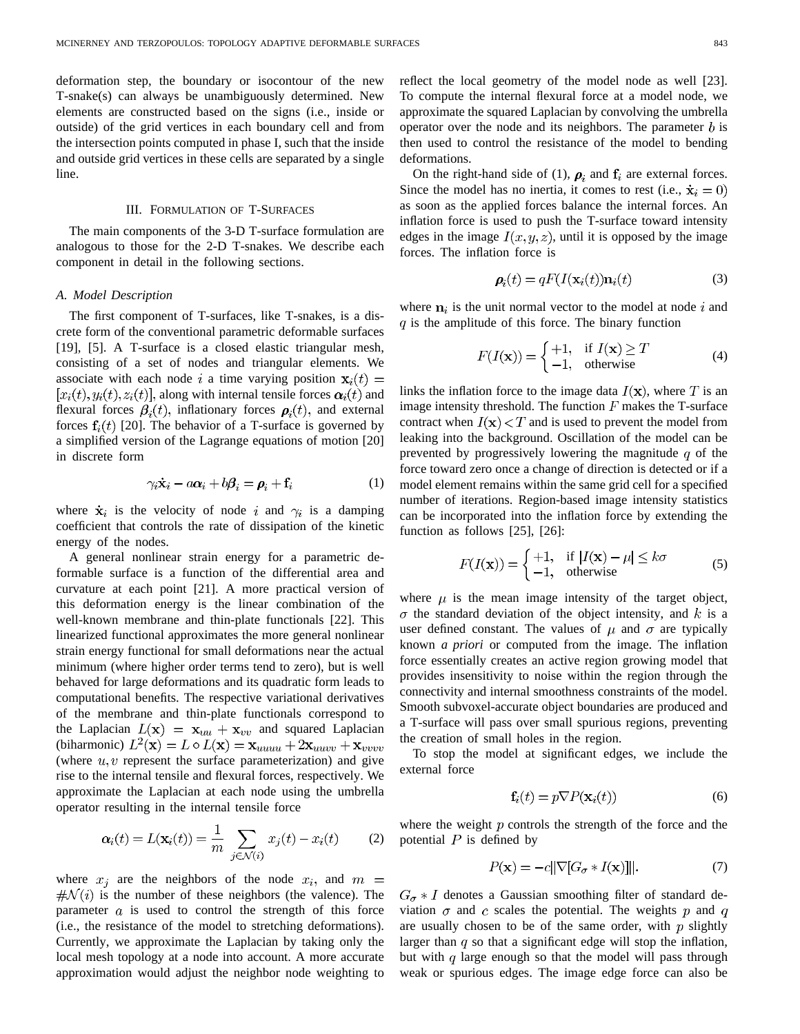deformation step, the boundary or isocontour of the new T-snake(s) can always be unambiguously determined. New elements are constructed based on the signs (i.e., inside or outside) of the grid vertices in each boundary cell and from the intersection points computed in phase I, such that the inside and outside grid vertices in these cells are separated by a single line.

## III. FORMULATION OF T-SURFACES

The main components of the 3-D T-surface formulation are analogous to those for the 2-D T-snakes. We describe each component in detail in the following sections.

### *A. Model Description*

The first component of T-surfaces, like T-snakes, is a discrete form of the conventional parametric deformable surfaces [19], [5]. A T-surface is a closed elastic triangular mesh, consisting of a set of nodes and triangular elements. We associate with each node i a time varying position  $x_i(t) =$  $[x_i(t), y_i(t), z_i(t)]$ , along with internal tensile forces  $\alpha_i(t)$  and flexural forces  $\beta_i(t)$ , inflationary forces  $\rho_i(t)$ , and external forces  $f_i(t)$  [20]. The behavior of a T-surface is governed by a simplified version of the Lagrange equations of motion [20] in discrete form

$$
\gamma_i \dot{\mathbf{x}}_i - a\alpha_i + b\beta_i = \rho_i + \mathbf{f}_i \tag{1}
$$

where  $\dot{\mathbf{x}}_i$  is the velocity of node i and  $\gamma_i$  is a damping coefficient that controls the rate of dissipation of the kinetic energy of the nodes.

A general nonlinear strain energy for a parametric deformable surface is a function of the differential area and curvature at each point [21]. A more practical version of this deformation energy is the linear combination of the well-known membrane and thin-plate functionals [22]. This linearized functional approximates the more general nonlinear strain energy functional for small deformations near the actual minimum (where higher order terms tend to zero), but is well behaved for large deformations and its quadratic form leads to computational benefits. The respective variational derivatives of the membrane and thin-plate functionals correspond to the Laplacian  $L(\mathbf{x}) = \mathbf{x}_{uu} + \mathbf{x}_{vv}$  and squared Laplacian (biharmonic)  $L^2(\mathbf{x}) = L \circ L(\mathbf{x}) = \mathbf{x}_{uuuu} + 2\mathbf{x}_{uuvv} + \mathbf{x}_{vvvv}$ (where  $u, v$  represent the surface parameterization) and give rise to the internal tensile and flexural forces, respectively. We approximate the Laplacian at each node using the umbrella operator resulting in the internal tensile force

$$
\alpha_i(t) = L(\mathbf{x}_i(t)) = \frac{1}{m} \sum_{j \in \mathcal{N}(i)} x_j(t) - x_i(t) \qquad (2)
$$

where  $x_j$  are the neighbors of the node  $x_i$ , and  $m =$  $\# \mathcal{N}(i)$  is the number of these neighbors (the valence). The parameter  $a$  is used to control the strength of this force (i.e., the resistance of the model to stretching deformations). Currently, we approximate the Laplacian by taking only the local mesh topology at a node into account. A more accurate approximation would adjust the neighbor node weighting to reflect the local geometry of the model node as well [23]. To compute the internal flexural force at a model node, we approximate the squared Laplacian by convolving the umbrella operator over the node and its neighbors. The parameter  $b$  is then used to control the resistance of the model to bending deformations.

On the right-hand side of (1),  $\rho_i$  and  $f_i$  are external forces. Since the model has no inertia, it comes to rest (i.e.,  $\dot{\mathbf{x}}_i = 0$ ) as soon as the applied forces balance the internal forces. An inflation force is used to push the T-surface toward intensity edges in the image  $I(x, y, z)$ , until it is opposed by the image forces. The inflation force is

$$
\rho_i(t) = qF(I(\mathbf{x}_i(t))\mathbf{n}_i(t) \tag{3}
$$

where  $n_i$  is the unit normal vector to the model at node i and  $q$  is the amplitude of this force. The binary function

$$
F(I(\mathbf{x})) = \begin{cases} +1, & \text{if } I(\mathbf{x}) \ge T \\ -1, & \text{otherwise} \end{cases}
$$
 (4)

links the inflation force to the image data  $I(x)$ , where T is an image intensity threshold. The function  $F$  makes the T-surface contract when  $I(x) < T$  and is used to prevent the model from leaking into the background. Oscillation of the model can be prevented by progressively lowering the magnitude  $q$  of the force toward zero once a change of direction is detected or if a model element remains within the same grid cell for a specified number of iterations. Region-based image intensity statistics can be incorporated into the inflation force by extending the function as follows [25], [26]:

$$
F(I(\mathbf{x})) = \begin{cases} +1, & \text{if } |I(\mathbf{x}) - \mu| \le k\sigma \\ -1, & \text{otherwise} \end{cases}
$$
 (5)

where  $\mu$  is the mean image intensity of the target object,  $\sigma$  the standard deviation of the object intensity, and k is a user defined constant. The values of  $\mu$  and  $\sigma$  are typically known *a priori* or computed from the image. The inflation force essentially creates an active region growing model that provides insensitivity to noise within the region through the connectivity and internal smoothness constraints of the model. Smooth subvoxel-accurate object boundaries are produced and a T-surface will pass over small spurious regions, preventing the creation of small holes in the region.

To stop the model at significant edges, we include the external force

$$
\mathbf{f}_i(t) = p \nabla P(\mathbf{x}_i(t)) \tag{6}
$$

where the weight  $p$  controls the strength of the force and the potential  $P$  is defined by

$$
P(\mathbf{x}) = -c||\nabla[G_{\sigma} * I(\mathbf{x})]||. \tag{7}
$$

 $G_{\sigma}$  \* I denotes a Gaussian smoothing filter of standard deviation  $\sigma$  and  $c$  scales the potential. The weights  $p$  and  $q$ are usually chosen to be of the same order, with  $p$  slightly larger than  $q$  so that a significant edge will stop the inflation, but with q large enough so that the model will pass through weak or spurious edges. The image edge force can also be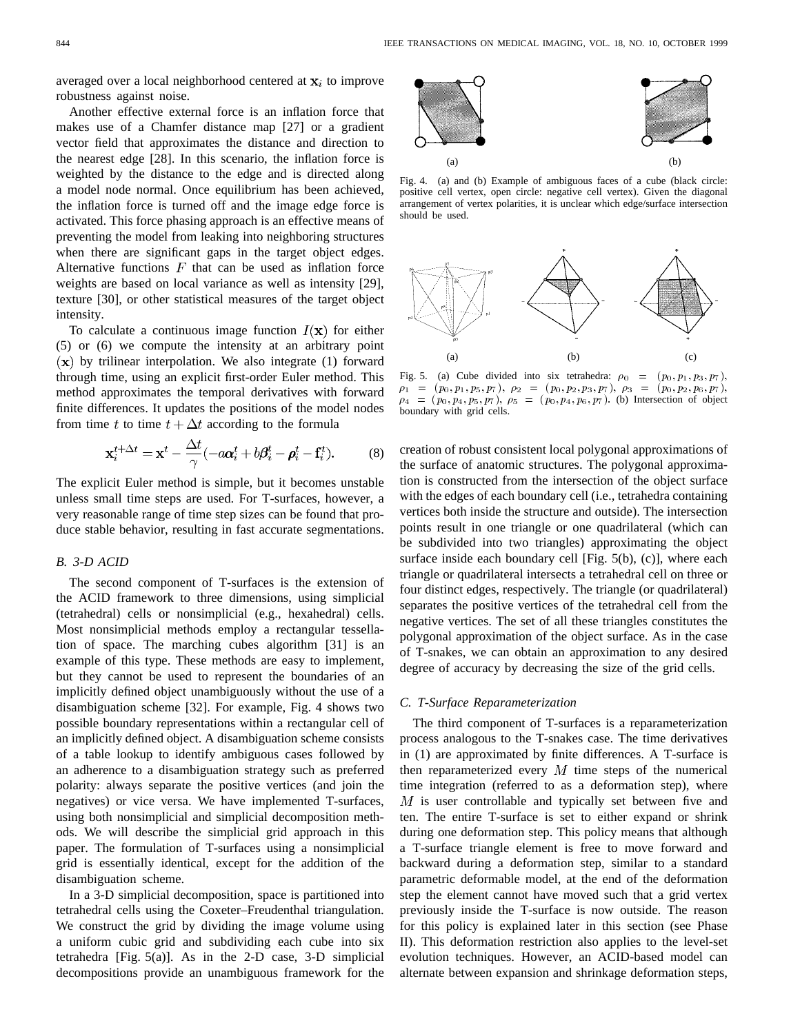averaged over a local neighborhood centered at  $x_i$  to improve robustness against noise.

Another effective external force is an inflation force that makes use of a Chamfer distance map [27] or a gradient vector field that approximates the distance and direction to the nearest edge [28]. In this scenario, the inflation force is weighted by the distance to the edge and is directed along a model node normal. Once equilibrium has been achieved, the inflation force is turned off and the image edge force is activated. This force phasing approach is an effective means of preventing the model from leaking into neighboring structures when there are significant gaps in the target object edges. Alternative functions  $F$  that can be used as inflation force weights are based on local variance as well as intensity [29], texture [30], or other statistical measures of the target object intensity.

To calculate a continuous image function  $I(x)$  for either (5) or (6) we compute the intensity at an arbitrary point  $(x)$  by trilinear interpolation. We also integrate (1) forward through time, using an explicit first-order Euler method. This method approximates the temporal derivatives with forward finite differences. It updates the positions of the model nodes from time t to time  $t + \Delta t$  according to the formula

$$
\mathbf{x}_i^{t + \Delta t} = \mathbf{x}^t - \frac{\Delta t}{\gamma} (-a\alpha_i^t + b\beta_i^t - \boldsymbol{\rho}_i^t - \mathbf{f}_i^t). \tag{8}
$$

The explicit Euler method is simple, but it becomes unstable unless small time steps are used. For T-surfaces, however, a very reasonable range of time step sizes can be found that produce stable behavior, resulting in fast accurate segmentations.

## *B. 3-D ACID*

The second component of T-surfaces is the extension of the ACID framework to three dimensions, using simplicial (tetrahedral) cells or nonsimplicial (e.g., hexahedral) cells. Most nonsimplicial methods employ a rectangular tessellation of space. The marching cubes algorithm [31] is an example of this type. These methods are easy to implement, but they cannot be used to represent the boundaries of an implicitly defined object unambiguously without the use of a disambiguation scheme [32]. For example, Fig. 4 shows two possible boundary representations within a rectangular cell of an implicitly defined object. A disambiguation scheme consists of a table lookup to identify ambiguous cases followed by an adherence to a disambiguation strategy such as preferred polarity: always separate the positive vertices (and join the negatives) or vice versa. We have implemented T-surfaces, using both nonsimplicial and simplicial decomposition methods. We will describe the simplicial grid approach in this paper. The formulation of T-surfaces using a nonsimplicial grid is essentially identical, except for the addition of the disambiguation scheme.

In a 3-D simplicial decomposition, space is partitioned into tetrahedral cells using the Coxeter–Freudenthal triangulation. We construct the grid by dividing the image volume using a uniform cubic grid and subdividing each cube into six tetrahedra [Fig. 5(a)]. As in the 2-D case, 3-D simplicial decompositions provide an unambiguous framework for the





Fig. 4. (a) and (b) Example of ambiguous faces of a cube (black circle: positive cell vertex, open circle: negative cell vertex). Given the diagonal arrangement of vertex polarities, it is unclear which edge/surface intersection should be used.



Fig. 5. (a) Cube divided into six tetrahedra:  $\rho_0 = (p_0, p_1, p_3, p_7)$ ,  $\rho_1 = (p_0, p_1, p_5, p_7), \ \rho_2 = (p_0, p_2, p_3, p_7), \ \rho_3 = (p_0, p_2, p_6, p_7),$  $\rho_4 = (p_0, p_4, p_5, p_7), \ \rho_5 = (p_0, p_4, p_6, p_7)$ . (b) Intersection of object boundary with grid cells.

creation of robust consistent local polygonal approximations of the surface of anatomic structures. The polygonal approximation is constructed from the intersection of the object surface with the edges of each boundary cell (i.e., tetrahedra containing vertices both inside the structure and outside). The intersection points result in one triangle or one quadrilateral (which can be subdivided into two triangles) approximating the object surface inside each boundary cell [Fig. 5(b), (c)], where each triangle or quadrilateral intersects a tetrahedral cell on three or four distinct edges, respectively. The triangle (or quadrilateral) separates the positive vertices of the tetrahedral cell from the negative vertices. The set of all these triangles constitutes the polygonal approximation of the object surface. As in the case of T-snakes, we can obtain an approximation to any desired degree of accuracy by decreasing the size of the grid cells.

## *C. T-Surface Reparameterization*

The third component of T-surfaces is a reparameterization process analogous to the T-snakes case. The time derivatives in (1) are approximated by finite differences. A T-surface is then reparameterized every  $M$  time steps of the numerical time integration (referred to as a deformation step), where  $M$  is user controllable and typically set between five and ten. The entire T-surface is set to either expand or shrink during one deformation step. This policy means that although a T-surface triangle element is free to move forward and backward during a deformation step, similar to a standard parametric deformable model, at the end of the deformation step the element cannot have moved such that a grid vertex previously inside the T-surface is now outside. The reason for this policy is explained later in this section (see Phase II). This deformation restriction also applies to the level-set evolution techniques. However, an ACID-based model can alternate between expansion and shrinkage deformation steps,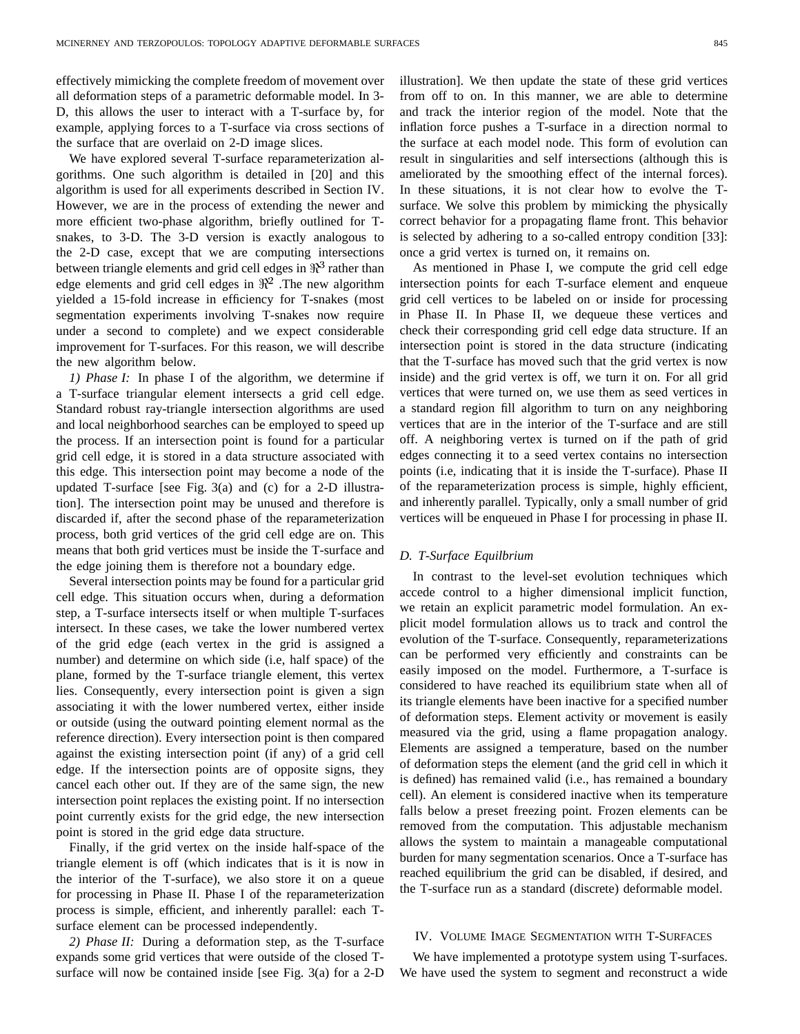effectively mimicking the complete freedom of movement over all deformation steps of a parametric deformable model. In 3- D, this allows the user to interact with a T-surface by, for example, applying forces to a T-surface via cross sections of the surface that are overlaid on 2-D image slices.

We have explored several T-surface reparameterization algorithms. One such algorithm is detailed in [20] and this algorithm is used for all experiments described in Section IV. However, we are in the process of extending the newer and more efficient two-phase algorithm, briefly outlined for Tsnakes, to 3-D. The 3-D version is exactly analogous to the 2-D case, except that we are computing intersections between triangle elements and grid cell edges in  $\mathbb{R}^3$  rather than edge elements and grid cell edges in  $\mathbb{R}^2$ . The new algorithm yielded a 15-fold increase in efficiency for T-snakes (most segmentation experiments involving T-snakes now require under a second to complete) and we expect considerable improvement for T-surfaces. For this reason, we will describe the new algorithm below.

*1) Phase I:* In phase I of the algorithm, we determine if a T-surface triangular element intersects a grid cell edge. Standard robust ray-triangle intersection algorithms are used and local neighborhood searches can be employed to speed up the process. If an intersection point is found for a particular grid cell edge, it is stored in a data structure associated with this edge. This intersection point may become a node of the updated T-surface [see Fig. 3(a) and (c) for a 2-D illustration]. The intersection point may be unused and therefore is discarded if, after the second phase of the reparameterization process, both grid vertices of the grid cell edge are on. This means that both grid vertices must be inside the T-surface and the edge joining them is therefore not a boundary edge.

Several intersection points may be found for a particular grid cell edge. This situation occurs when, during a deformation step, a T-surface intersects itself or when multiple T-surfaces intersect. In these cases, we take the lower numbered vertex of the grid edge (each vertex in the grid is assigned a number) and determine on which side (i.e, half space) of the plane, formed by the T-surface triangle element, this vertex lies. Consequently, every intersection point is given a sign associating it with the lower numbered vertex, either inside or outside (using the outward pointing element normal as the reference direction). Every intersection point is then compared against the existing intersection point (if any) of a grid cell edge. If the intersection points are of opposite signs, they cancel each other out. If they are of the same sign, the new intersection point replaces the existing point. If no intersection point currently exists for the grid edge, the new intersection point is stored in the grid edge data structure.

Finally, if the grid vertex on the inside half-space of the triangle element is off (which indicates that is it is now in the interior of the T-surface), we also store it on a queue for processing in Phase II. Phase I of the reparameterization process is simple, efficient, and inherently parallel: each Tsurface element can be processed independently.

*2) Phase II:* During a deformation step, as the T-surface expands some grid vertices that were outside of the closed Tsurface will now be contained inside [see Fig. 3(a) for a 2-D illustration]. We then update the state of these grid vertices from off to on. In this manner, we are able to determine and track the interior region of the model. Note that the inflation force pushes a T-surface in a direction normal to the surface at each model node. This form of evolution can result in singularities and self intersections (although this is ameliorated by the smoothing effect of the internal forces). In these situations, it is not clear how to evolve the Tsurface. We solve this problem by mimicking the physically correct behavior for a propagating flame front. This behavior is selected by adhering to a so-called entropy condition [33]: once a grid vertex is turned on, it remains on.

As mentioned in Phase I, we compute the grid cell edge intersection points for each T-surface element and enqueue grid cell vertices to be labeled on or inside for processing in Phase II. In Phase II, we dequeue these vertices and check their corresponding grid cell edge data structure. If an intersection point is stored in the data structure (indicating that the T-surface has moved such that the grid vertex is now inside) and the grid vertex is off, we turn it on. For all grid vertices that were turned on, we use them as seed vertices in a standard region fill algorithm to turn on any neighboring vertices that are in the interior of the T-surface and are still off. A neighboring vertex is turned on if the path of grid edges connecting it to a seed vertex contains no intersection points (i.e, indicating that it is inside the T-surface). Phase II of the reparameterization process is simple, highly efficient, and inherently parallel. Typically, only a small number of grid vertices will be enqueued in Phase I for processing in phase II.

### *D. T-Surface Equilbrium*

In contrast to the level-set evolution techniques which accede control to a higher dimensional implicit function, we retain an explicit parametric model formulation. An explicit model formulation allows us to track and control the evolution of the T-surface. Consequently, reparameterizations can be performed very efficiently and constraints can be easily imposed on the model. Furthermore, a T-surface is considered to have reached its equilibrium state when all of its triangle elements have been inactive for a specified number of deformation steps. Element activity or movement is easily measured via the grid, using a flame propagation analogy. Elements are assigned a temperature, based on the number of deformation steps the element (and the grid cell in which it is defined) has remained valid (i.e., has remained a boundary cell). An element is considered inactive when its temperature falls below a preset freezing point. Frozen elements can be removed from the computation. This adjustable mechanism allows the system to maintain a manageable computational burden for many segmentation scenarios. Once a T-surface has reached equilibrium the grid can be disabled, if desired, and the T-surface run as a standard (discrete) deformable model.

#### IV. VOLUME IMAGE SEGMENTATION WITH T-SURFACES

We have implemented a prototype system using T-surfaces. We have used the system to segment and reconstruct a wide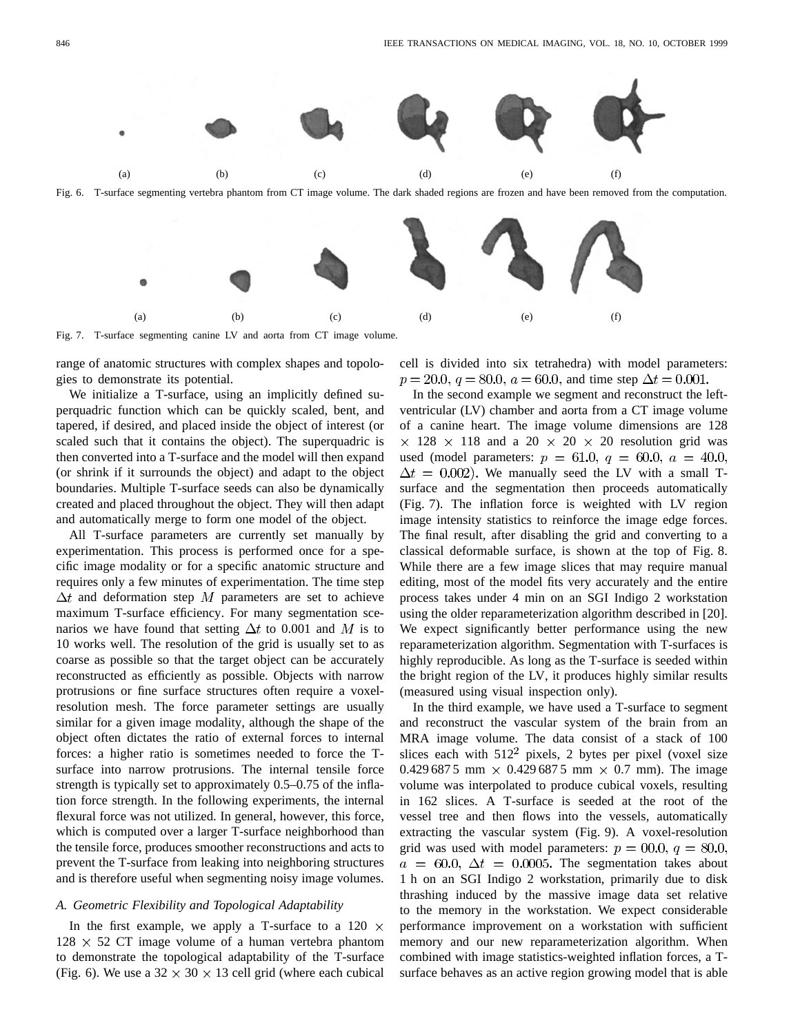

(a) (b) (c) (d) (e) (f)

Fig. 7. T-surface segmenting canine LV and aorta from CT image volume.

range of anatomic structures with complex shapes and topologies to demonstrate its potential.

We initialize a T-surface, using an implicitly defined superquadric function which can be quickly scaled, bent, and tapered, if desired, and placed inside the object of interest (or scaled such that it contains the object). The superquadric is then converted into a T-surface and the model will then expand (or shrink if it surrounds the object) and adapt to the object boundaries. Multiple T-surface seeds can also be dynamically created and placed throughout the object. They will then adapt and automatically merge to form one model of the object.

All T-surface parameters are currently set manually by experimentation. This process is performed once for a specific image modality or for a specific anatomic structure and requires only a few minutes of experimentation. The time step  $\Delta t$  and deformation step M parameters are set to achieve maximum T-surface efficiency. For many segmentation scenarios we have found that setting  $\Delta t$  to 0.001 and M is to 10 works well. The resolution of the grid is usually set to as coarse as possible so that the target object can be accurately reconstructed as efficiently as possible. Objects with narrow protrusions or fine surface structures often require a voxelresolution mesh. The force parameter settings are usually similar for a given image modality, although the shape of the object often dictates the ratio of external forces to internal forces: a higher ratio is sometimes needed to force the Tsurface into narrow protrusions. The internal tensile force strength is typically set to approximately 0.5–0.75 of the inflation force strength. In the following experiments, the internal flexural force was not utilized. In general, however, this force, which is computed over a larger T-surface neighborhood than the tensile force, produces smoother reconstructions and acts to prevent the T-surface from leaking into neighboring structures and is therefore useful when segmenting noisy image volumes.

## *A. Geometric Flexibility and Topological Adaptability*

In the first example, we apply a T-surface to a 120  $\times$  $128 \times 52$  CT image volume of a human vertebra phantom to demonstrate the topological adaptability of the T-surface (Fig. 6). We use a  $32 \times 30 \times 13$  cell grid (where each cubical cell is divided into six tetrahedra) with model parameters:  $p = 20.0, q = 80.0, a = 60.0,$  and time step  $\Delta t = 0.001$ .

In the second example we segment and reconstruct the leftventricular (LV) chamber and aorta from a CT image volume of a canine heart. The image volume dimensions are 128  $\times$  128  $\times$  118 and a 20  $\times$  20  $\times$  20 resolution grid was used (model parameters:  $p = 61.0, q = 60.0, a = 40.0,$  $\Delta t = 0.002$ ). We manually seed the LV with a small Tsurface and the segmentation then proceeds automatically (Fig. 7). The inflation force is weighted with LV region image intensity statistics to reinforce the image edge forces. The final result, after disabling the grid and converting to a classical deformable surface, is shown at the top of Fig. 8. While there are a few image slices that may require manual editing, most of the model fits very accurately and the entire process takes under 4 min on an SGI Indigo 2 workstation using the older reparameterization algorithm described in [20]. We expect significantly better performance using the new reparameterization algorithm. Segmentation with T-surfaces is highly reproducible. As long as the T-surface is seeded within the bright region of the LV, it produces highly similar results (measured using visual inspection only).

In the third example, we have used a T-surface to segment and reconstruct the vascular system of the brain from an MRA image volume. The data consist of a stack of 100 slices each with  $512<sup>2</sup>$  pixels, 2 bytes per pixel (voxel size 0.429 687 5 mm  $\times$  0.429 687 5 mm  $\times$  0.7 mm). The image volume was interpolated to produce cubical voxels, resulting in 162 slices. A T-surface is seeded at the root of the vessel tree and then flows into the vessels, automatically extracting the vascular system (Fig. 9). A voxel-resolution grid was used with model parameters:  $p = 00.0, q = 80.0,$  $a = 60.0, \Delta t = 0.0005$ . The segmentation takes about 1 h on an SGI Indigo 2 workstation, primarily due to disk thrashing induced by the massive image data set relative to the memory in the workstation. We expect considerable performance improvement on a workstation with sufficient memory and our new reparameterization algorithm. When combined with image statistics-weighted inflation forces, a Tsurface behaves as an active region growing model that is able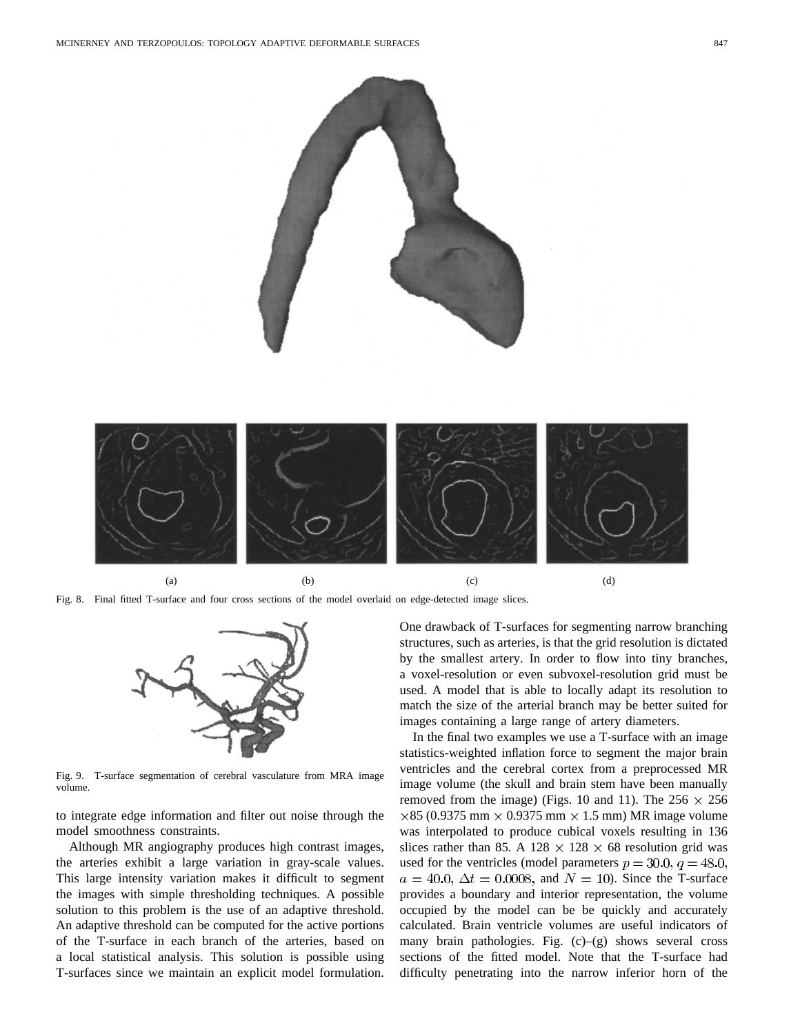



Fig. 8. Final fitted T-surface and four cross sections of the model overlaid on edge-detected image slices.



Fig. 9. T-surface segmentation of cerebral vasculature from MRA image volume.

to integrate edge information and filter out noise through the model smoothness constraints.

Although MR angiography produces high contrast images, the arteries exhibit a large variation in gray-scale values. This large intensity variation makes it difficult to segment the images with simple thresholding techniques. A possible solution to this problem is the use of an adaptive threshold. An adaptive threshold can be computed for the active portions of the T-surface in each branch of the arteries, based on a local statistical analysis. This solution is possible using T-surfaces since we maintain an explicit model formulation. One drawback of T-surfaces for segmenting narrow branching structures, such as arteries, is that the grid resolution is dictated by the smallest artery. In order to flow into tiny branches, a voxel-resolution or even subvoxel-resolution grid must be used. A model that is able to locally adapt its resolution to match the size of the arterial branch may be better suited for images containing a large range of artery diameters.

In the final two examples we use a T-surface with an image statistics-weighted inflation force to segment the major brain ventricles and the cerebral cortex from a preprocessed MR image volume (the skull and brain stem have been manually removed from the image) (Figs. 10 and 11). The  $256 \times 256$  $\times 85$  (0.9375 mm  $\times$  0.9375 mm  $\times$  1.5 mm) MR image volume was interpolated to produce cubical voxels resulting in 136 slices rather than 85. A 128  $\times$  128  $\times$  68 resolution grid was used for the ventricles (model parameters  $p = 30.0, q = 48.0$ ,  $a = 40.0$ ,  $\Delta t = 0.0008$ , and  $N = 10$ ). Since the T-surface provides a boundary and interior representation, the volume occupied by the model can be be quickly and accurately calculated. Brain ventricle volumes are useful indicators of many brain pathologies. Fig. (c)–(g) shows several cross sections of the fitted model. Note that the T-surface had difficulty penetrating into the narrow inferior horn of the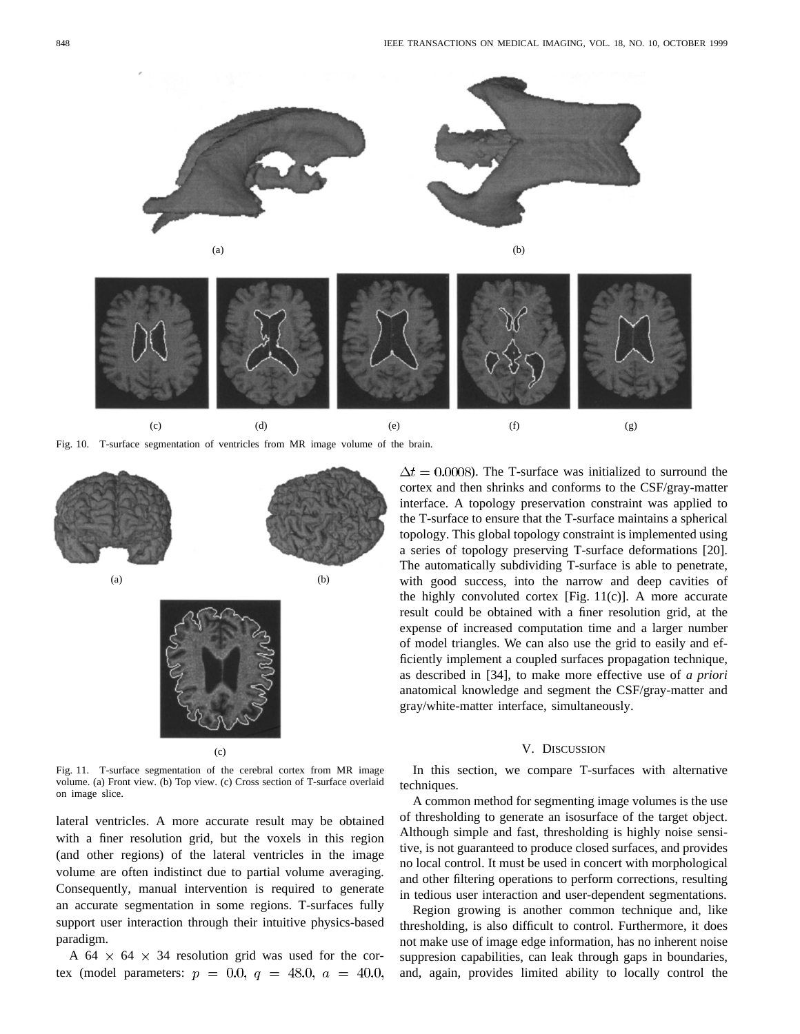







Fig. 11. T-surface segmentation of the cerebral cortex from MR image volume. (a) Front view. (b) Top view. (c) Cross section of T-surface overlaid on image slice.

lateral ventricles. A more accurate result may be obtained with a finer resolution grid, but the voxels in this region (and other regions) of the lateral ventricles in the image volume are often indistinct due to partial volume averaging. Consequently, manual intervention is required to generate an accurate segmentation in some regions. T-surfaces fully support user interaction through their intuitive physics-based paradigm.

A 64  $\times$  64  $\times$  34 resolution grid was used for the cortex (model parameters:  $p = 0.0, q = 48.0, a = 40.0,$   $\Delta t = 0.0008$ ). The T-surface was initialized to surround the cortex and then shrinks and conforms to the CSF/gray-matter interface. A topology preservation constraint was applied to the T-surface to ensure that the T-surface maintains a spherical topology. This global topology constraint is implemented using a series of topology preserving T-surface deformations [20]. The automatically subdividing T-surface is able to penetrate, with good success, into the narrow and deep cavities of the highly convoluted cortex  $[Fig. 11(c)]$ . A more accurate result could be obtained with a finer resolution grid, at the expense of increased computation time and a larger number of model triangles. We can also use the grid to easily and efficiently implement a coupled surfaces propagation technique, as described in [34], to make more effective use of *a priori* anatomical knowledge and segment the CSF/gray-matter and gray/white-matter interface, simultaneously.

### V. DISCUSSION

In this section, we compare T-surfaces with alternative techniques.

A common method for segmenting image volumes is the use of thresholding to generate an isosurface of the target object. Although simple and fast, thresholding is highly noise sensitive, is not guaranteed to produce closed surfaces, and provides no local control. It must be used in concert with morphological and other filtering operations to perform corrections, resulting in tedious user interaction and user-dependent segmentations.

Region growing is another common technique and, like thresholding, is also difficult to control. Furthermore, it does not make use of image edge information, has no inherent noise suppresion capabilities, can leak through gaps in boundaries, and, again, provides limited ability to locally control the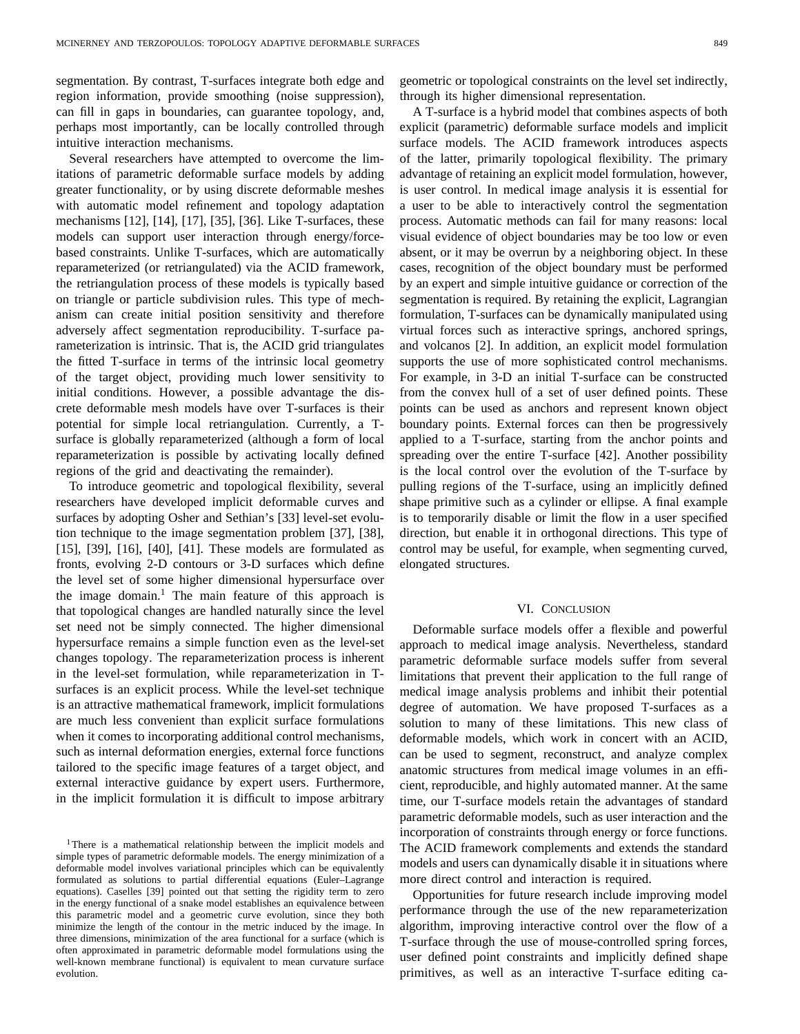segmentation. By contrast, T-surfaces integrate both edge and region information, provide smoothing (noise suppression), can fill in gaps in boundaries, can guarantee topology, and, perhaps most importantly, can be locally controlled through intuitive interaction mechanisms.

Several researchers have attempted to overcome the limitations of parametric deformable surface models by adding greater functionality, or by using discrete deformable meshes with automatic model refinement and topology adaptation mechanisms [12], [14], [17], [35], [36]. Like T-surfaces, these models can support user interaction through energy/forcebased constraints. Unlike T-surfaces, which are automatically reparameterized (or retriangulated) via the ACID framework, the retriangulation process of these models is typically based on triangle or particle subdivision rules. This type of mechanism can create initial position sensitivity and therefore adversely affect segmentation reproducibility. T-surface parameterization is intrinsic. That is, the ACID grid triangulates the fitted T-surface in terms of the intrinsic local geometry of the target object, providing much lower sensitivity to initial conditions. However, a possible advantage the discrete deformable mesh models have over T-surfaces is their potential for simple local retriangulation. Currently, a Tsurface is globally reparameterized (although a form of local reparameterization is possible by activating locally defined regions of the grid and deactivating the remainder).

To introduce geometric and topological flexibility, several researchers have developed implicit deformable curves and surfaces by adopting Osher and Sethian's [33] level-set evolution technique to the image segmentation problem [37], [38], [15], [39], [16], [40], [41]. These models are formulated as fronts, evolving 2-D contours or 3-D surfaces which define the level set of some higher dimensional hypersurface over the image domain.<sup>1</sup> The main feature of this approach is that topological changes are handled naturally since the level set need not be simply connected. The higher dimensional hypersurface remains a simple function even as the level-set changes topology. The reparameterization process is inherent in the level-set formulation, while reparameterization in Tsurfaces is an explicit process. While the level-set technique is an attractive mathematical framework, implicit formulations are much less convenient than explicit surface formulations when it comes to incorporating additional control mechanisms, such as internal deformation energies, external force functions tailored to the specific image features of a target object, and external interactive guidance by expert users. Furthermore, in the implicit formulation it is difficult to impose arbitrary geometric or topological constraints on the level set indirectly, through its higher dimensional representation.

A T-surface is a hybrid model that combines aspects of both explicit (parametric) deformable surface models and implicit surface models. The ACID framework introduces aspects of the latter, primarily topological flexibility. The primary advantage of retaining an explicit model formulation, however, is user control. In medical image analysis it is essential for a user to be able to interactively control the segmentation process. Automatic methods can fail for many reasons: local visual evidence of object boundaries may be too low or even absent, or it may be overrun by a neighboring object. In these cases, recognition of the object boundary must be performed by an expert and simple intuitive guidance or correction of the segmentation is required. By retaining the explicit, Lagrangian formulation, T-surfaces can be dynamically manipulated using virtual forces such as interactive springs, anchored springs, and volcanos [2]. In addition, an explicit model formulation supports the use of more sophisticated control mechanisms. For example, in 3-D an initial T-surface can be constructed from the convex hull of a set of user defined points. These points can be used as anchors and represent known object boundary points. External forces can then be progressively applied to a T-surface, starting from the anchor points and spreading over the entire T-surface [42]. Another possibility is the local control over the evolution of the T-surface by pulling regions of the T-surface, using an implicitly defined shape primitive such as a cylinder or ellipse. A final example is to temporarily disable or limit the flow in a user specified direction, but enable it in orthogonal directions. This type of control may be useful, for example, when segmenting curved, elongated structures.

## VI. CONCLUSION

Deformable surface models offer a flexible and powerful approach to medical image analysis. Nevertheless, standard parametric deformable surface models suffer from several limitations that prevent their application to the full range of medical image analysis problems and inhibit their potential degree of automation. We have proposed T-surfaces as a solution to many of these limitations. This new class of deformable models, which work in concert with an ACID, can be used to segment, reconstruct, and analyze complex anatomic structures from medical image volumes in an efficient, reproducible, and highly automated manner. At the same time, our T-surface models retain the advantages of standard parametric deformable models, such as user interaction and the incorporation of constraints through energy or force functions. The ACID framework complements and extends the standard models and users can dynamically disable it in situations where more direct control and interaction is required.

Opportunities for future research include improving model performance through the use of the new reparameterization algorithm, improving interactive control over the flow of a T-surface through the use of mouse-controlled spring forces, user defined point constraints and implicitly defined shape primitives, as well as an interactive T-surface editing ca-

<sup>&</sup>lt;sup>1</sup>There is a mathematical relationship between the implicit models and simple types of parametric deformable models. The energy minimization of a deformable model involves variational principles which can be equivalently formulated as solutions to partial differential equations (Euler–Lagrange equations). Caselles [39] pointed out that setting the rigidity term to zero in the energy functional of a snake model establishes an equivalence between this parametric model and a geometric curve evolution, since they both minimize the length of the contour in the metric induced by the image. In three dimensions, minimization of the area functional for a surface (which is often approximated in parametric deformable model formulations using the well-known membrane functional) is equivalent to mean curvature surface evolution.